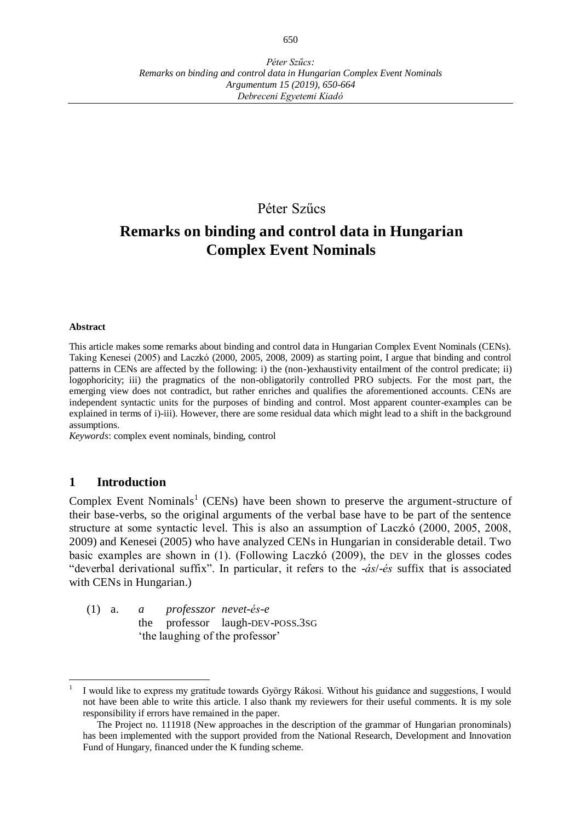# Péter Szűcs

# **Remarks on binding and control data in Hungarian Complex Event Nominals**

#### **Abstract**

This article makes some remarks about binding and control data in Hungarian Complex Event Nominals (CENs). Taking Kenesei (2005) and Laczkó (2000, 2005, 2008, 2009) as starting point, I argue that binding and control patterns in CENs are affected by the following: i) the (non-)exhaustivity entailment of the control predicate; ii) logophoricity; iii) the pragmatics of the non-obligatorily controlled PRO subjects. For the most part, the emerging view does not contradict, but rather enriches and qualifies the aforementioned accounts. CENs are independent syntactic units for the purposes of binding and control. Most apparent counter-examples can be explained in terms of i)-iii). However, there are some residual data which might lead to a shift in the background assumptions.

*Keywords*: complex event nominals, binding, control

#### **1 Introduction**

 $\overline{a}$ 

Complex Event Nominals<sup>1</sup> (CENs) have been shown to preserve the argument-structure of their base-verbs, so the original arguments of the verbal base have to be part of the sentence structure at some syntactic level. This is also an assumption of Laczkó (2000, 2005, 2008, 2009) and Kenesei (2005) who have analyzed CENs in Hungarian in considerable detail. Two basic examples are shown in (1). (Following Laczkó (2009), the DEV in the glosses codes "deverbal derivational suffix". In particular, it refers to the -*ás*/-*és* suffix that is associated with CENs in Hungarian.)

(1) a. *a professzor nevet-és-e* the professor laugh-DEV-POSS.3SG 'the laughing of the professor'

<sup>1</sup> I would like to express my gratitude towards György Rákosi. Without his guidance and suggestions, I would not have been able to write this article. I also thank my reviewers for their useful comments. It is my sole responsibility if errors have remained in the paper.

The Project no. 111918 (New approaches in the description of the grammar of Hungarian pronominals) has been implemented with the support provided from the National Research, Development and Innovation Fund of Hungary, financed under the K funding scheme.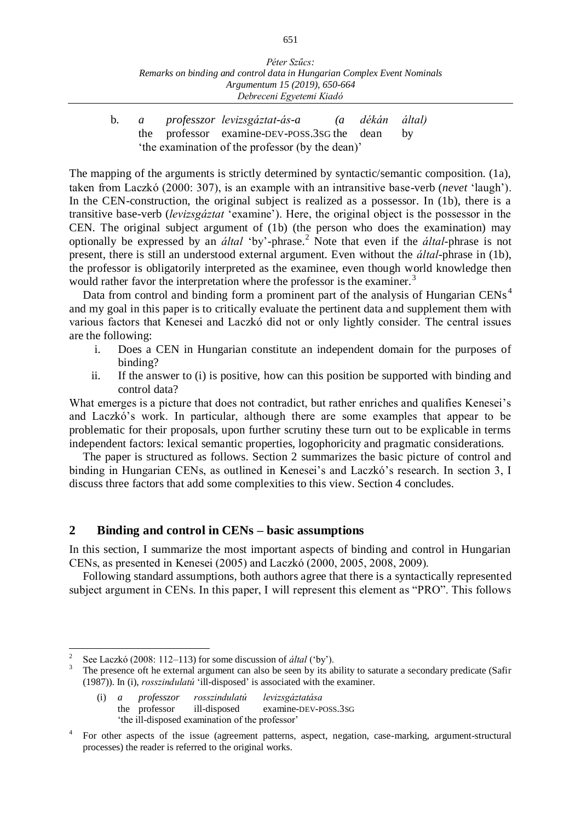b. *a professzor levizsgáztat-ás-a (a dékán által)* the professor examine-DEV-POSS.3SG the dean by 'the examination of the professor (by the dean)'

The mapping of the arguments is strictly determined by syntactic/semantic composition. (1a), taken from Laczkó (2000: 307), is an example with an intransitive base-verb (*nevet* 'laugh'). In the CEN-construction, the original subject is realized as a possessor. In (1b), there is a transitive base-verb (*levizsgáztat* 'examine'). Here, the original object is the possessor in the CEN. The original subject argument of (1b) (the person who does the examination) may optionally be expressed by an *által* 'by'-phrase.<sup>2</sup> Note that even if the *által*-phrase is not present, there is still an understood external argument. Even without the *által*-phrase in (1b), the professor is obligatorily interpreted as the examinee, even though world knowledge then would rather favor the interpretation where the professor is the examiner.<sup>3</sup>

Data from control and binding form a prominent part of the analysis of Hungarian CENs<sup>4</sup> and my goal in this paper is to critically evaluate the pertinent data and supplement them with various factors that Kenesei and Laczkó did not or only lightly consider. The central issues are the following:

- i. Does a CEN in Hungarian constitute an independent domain for the purposes of binding?
- ii. If the answer to (i) is positive, how can this position be supported with binding and control data?

What emerges is a picture that does not contradict, but rather enriches and qualifies Kenesei's and Laczkó's work. In particular, although there are some examples that appear to be problematic for their proposals, upon further scrutiny these turn out to be explicable in terms independent factors: lexical semantic properties, logophoricity and pragmatic considerations.

The paper is structured as follows. Section 2 summarizes the basic picture of control and binding in Hungarian CENs, as outlined in Kenesei's and Laczkó's research. In section 3, I discuss three factors that add some complexities to this view. Section 4 concludes.

## **2 Binding and control in CENs – basic assumptions**

In this section, I summarize the most important aspects of binding and control in Hungarian CENs, as presented in Kenesei (2005) and Laczkó (2000, 2005, 2008, 2009).

Following standard assumptions, both authors agree that there is a syntactically represented subject argument in CENs. In this paper, I will represent this element as "PRO". This follows

 $\frac{1}{2}$ See Laczkó (2008: 112–113) for some discussion of *által* ('by').

<sup>3</sup> The presence oft he external argument can also be seen by its ability to saturate a secondary predicate (Safir (1987)). In (i), *rosszindulatú* 'ill-disposed' is associated with the examiner.

<sup>(</sup>i) *a professzor rosszindulatú levizsgáztatása* the professor ill-disposed examine-DEV-POSS.3SG 'the ill-disposed examination of the professor'

<sup>4</sup> For other aspects of the issue (agreement patterns, aspect, negation, case-marking, argument-structural processes) the reader is referred to the original works.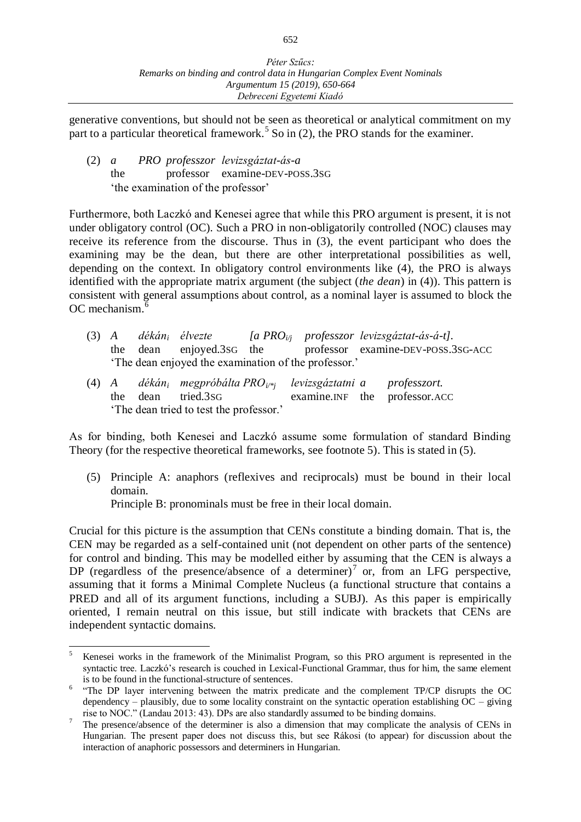generative conventions, but should not be seen as theoretical or analytical commitment on my part to a particular theoretical framework.<sup>5</sup> So in (2), the PRO stands for the examiner.

(2) *a PRO professzor levizsgáztat-ás-a* the professor examine-DEV-POSS.3SG 'the examination of the professor'

Furthermore, both Laczkó and Kenesei agree that while this PRO argument is present, it is not under obligatory control (OC). Such a PRO in non-obligatorily controlled (NOC) clauses may receive its reference from the discourse. Thus in (3), the event participant who does the examining may be the dean, but there are other interpretational possibilities as well, depending on the context. In obligatory control environments like (4), the PRO is always identified with the appropriate matrix argument (the subject (*the dean*) in (4)). This pattern is consistent with general assumptions about control, as a nominal layer is assumed to block the OC mechanism.<sup>6</sup>

- (3) *A dékán<sup>i</sup> élvezte [a PROi/j professzor levizsgáztat-ás-á-t].* the dean enjoyed.3SG the professor examine-DEV-POSS.3SG-ACC 'The dean enjoyed the examination of the professor.'
- (4) *A dékán<sup>i</sup> megpróbálta PROi/\*j levizsgáztatni a professzort.* the dean tried.3SG examine.INF the professor.ACC 'The dean tried to test the professor.'

As for binding, both Kenesei and Laczkó assume some formulation of standard Binding Theory (for the respective theoretical frameworks, see footnote 5). This is stated in (5).

(5) Principle A: anaphors (reflexives and reciprocals) must be bound in their local domain.

Principle B: pronominals must be free in their local domain.

Crucial for this picture is the assumption that CENs constitute a binding domain. That is, the CEN may be regarded as a self-contained unit (not dependent on other parts of the sentence) for control and binding. This may be modelled either by assuming that the CEN is always a DP (regardless of the presence/absence of a determiner)<sup>7</sup> or, from an LFG perspective, assuming that it forms a Minimal Complete Nucleus (a functional structure that contains a PRED and all of its argument functions, including a SUBJ). As this paper is empirically oriented, I remain neutral on this issue, but still indicate with brackets that CENs are independent syntactic domains.

 $\overline{a}$ <sup>5</sup> Kenesei works in the framework of the Minimalist Program, so this PRO argument is represented in the syntactic tree. Laczkó's research is couched in Lexical-Functional Grammar, thus for him, the same element is to be found in the functional-structure of sentences.

<sup>&</sup>lt;sup>6</sup> "The DP layer intervening between the matrix predicate and the complement TP/CP disrupts the OC dependency – plausibly, due to some locality constraint on the syntactic operation establishing  $OC$  – giving rise to NOC." (Landau 2013: 43). DPs are also standardly assumed to be binding domains.

<sup>7</sup> The presence/absence of the determiner is also a dimension that may complicate the analysis of CENs in Hungarian. The present paper does not discuss this, but see Rákosi (to appear) for discussion about the interaction of anaphoric possessors and determiners in Hungarian.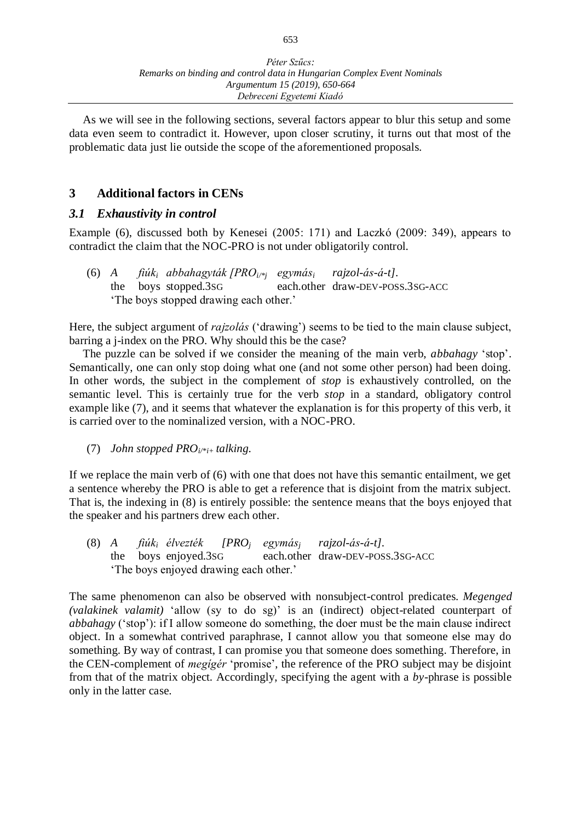As we will see in the following sections, several factors appear to blur this setup and some data even seem to contradict it. However, upon closer scrutiny, it turns out that most of the problematic data just lie outside the scope of the aforementioned proposals.

# **3 Additional factors in CENs**

# *3.1 Exhaustivity in control*

Example (6), discussed both by Kenesei (2005: 171) and Laczkó (2009: 349), appears to contradict the claim that the NOC-PRO is not under obligatorily control.

(6) *A fiúki abbahagyták [PROi/\*j egymási rajzol-ás-á-t].* the boys stopped.3SG each.other draw-DEV-POSS.3SG-ACC 'The boys stopped drawing each other.'

Here, the subject argument of *rajzolás* ('drawing') seems to be tied to the main clause subject, barring a j-index on the PRO. Why should this be the case?

The puzzle can be solved if we consider the meaning of the main verb, *abbahagy* 'stop'. Semantically, one can only stop doing what one (and not some other person) had been doing. In other words, the subject in the complement of *stop* is exhaustively controlled, on the semantic level. This is certainly true for the verb *stop* in a standard, obligatory control example like (7), and it seems that whatever the explanation is for this property of this verb, it is carried over to the nominalized version, with a NOC-PRO.

(7) *John stopped PROi/\*i+ talking.*

If we replace the main verb of (6) with one that does not have this semantic entailment, we get a sentence whereby the PRO is able to get a reference that is disjoint from the matrix subject. That is, the indexing in (8) is entirely possible: the sentence means that the boys enjoyed that the speaker and his partners drew each other.

(8) *A fiúki élvezték [PRO<sup>j</sup> egymásj rajzol-ás-á-t].* the boys enjoyed.3SG each.other draw-DEV-POSS.3SG-ACC 'The boys enjoyed drawing each other.'

The same phenomenon can also be observed with nonsubject-control predicates. *Megenged (valakinek valamit)* 'allow (sy to do sg)' is an (indirect) object-related counterpart of *abbahagy* ('stop'): if I allow someone do something, the doer must be the main clause indirect object. In a somewhat contrived paraphrase, I cannot allow you that someone else may do something. By way of contrast, I can promise you that someone does something. Therefore, in the CEN-complement of *megígér* 'promise', the reference of the PRO subject may be disjoint from that of the matrix object. Accordingly, specifying the agent with a *by*-phrase is possible only in the latter case.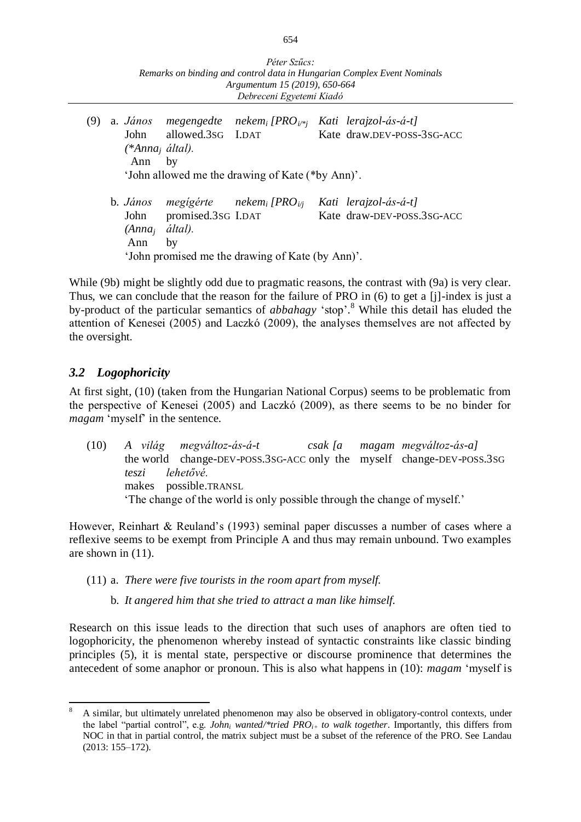| Péter Szűcs:                                                            |
|-------------------------------------------------------------------------|
| Remarks on binding and control data in Hungarian Complex Event Nominals |
| Argumentum 15 (2019), 650-664                                           |
| Debreceni Egyetemi Kiadó                                                |

(9) a. *János megengedte nekem<sup>i</sup> [PROi/\*j Kati lerajzol-ás-á-t]*  John allowed.3sG I.DAT Kate draw.DEV-POSS-3sG-ACC *(\*Anna<sup>j</sup> által).* Ann by 'John allowed me the drawing of Kate (\*by Ann)'. b. *János megígérte nekem<sup>i</sup> [PROi/j Kati lerajzol-ás-á-t]*  John promised.3sG I.DAT Kate draw-DEV-POSS.3sG-ACC *(Anna<sup>j</sup> által).* Ann by 'John promised me the drawing of Kate (by Ann)'.

While (9b) might be slightly odd due to pragmatic reasons, the contrast with (9a) is very clear. Thus, we can conclude that the reason for the failure of PRO in (6) to get a [j]-index is just a by-product of the particular semantics of *abbahagy* 'stop'. <sup>8</sup> While this detail has eluded the attention of Kenesei (2005) and Laczkó (2009), the analyses themselves are not affected by the oversight.

# *3.2 Logophoricity*

At first sight, (10) (taken from the Hungarian National Corpus) seems to be problematic from the perspective of Kenesei (2005) and Laczkó (2009), as there seems to be no binder for *magam* 'myself' in the sentence.

(10) *A világ megváltoz-ás-á-t csak [a magam megváltoz-ás-a]*  the world change-DEV-POSS.3SG-ACC only the myself change-DEV-POSS.3SG *teszi lehetővé.*  makes possible.TRANSL 'The change of the world is only possible through the change of myself.'

However, Reinhart & Reuland's (1993) seminal paper discusses a number of cases where a reflexive seems to be exempt from Principle A and thus may remain unbound. Two examples are shown in (11).

(11) a. *There were five tourists in the room apart from myself.*

b. *It angered him that she tried to attract a man like himself.*

Research on this issue leads to the direction that such uses of anaphors are often tied to logophoricity, the phenomenon whereby instead of syntactic constraints like classic binding principles (5), it is mental state, perspective or discourse prominence that determines the antecedent of some anaphor or pronoun. This is also what happens in (10): *magam* 'myself is

 $\overline{a}$ <sup>8</sup> A similar, but ultimately unrelated phenomenon may also be observed in obligatory-control contexts, under the label "partial control", e.g. *John<sup>i</sup> wanted/\*tried PROi+ to walk together*. Importantly, this differs from NOC in that in partial control, the matrix subject must be a subset of the reference of the PRO. See Landau (2013: 155–172).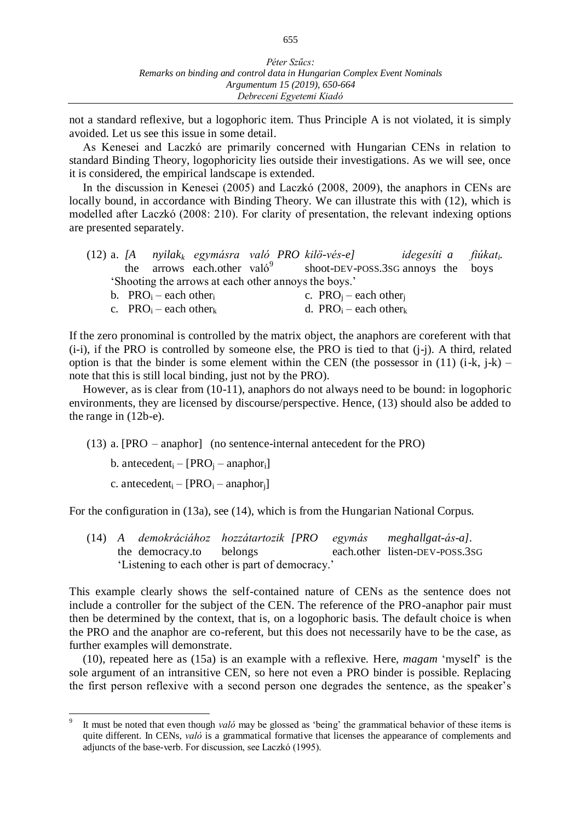not a standard reflexive, but a logophoric item. Thus Principle A is not violated, it is simply avoided. Let us see this issue in some detail.

As Kenesei and Laczkó are primarily concerned with Hungarian CENs in relation to standard Binding Theory, logophoricity lies outside their investigations. As we will see, once it is considered, the empirical landscape is extended.

In the discussion in Kenesei (2005) and Laczkó (2008, 2009), the anaphors in CENs are locally bound, in accordance with Binding Theory. We can illustrate this with (12), which is modelled after Laczkó (2008: 210). For clarity of presentation, the relevant indexing options are presented separately.

|                                                      |  |  |                                         |  | $(12)$ a. [A nyilak <sub>k</sub> egymásra való PRO kilö-vés-e] | idegesíti a fiúkat <sub>i</sub> . |  |  |  |
|------------------------------------------------------|--|--|-----------------------------------------|--|----------------------------------------------------------------|-----------------------------------|--|--|--|
|                                                      |  |  | the arrows each other valo <sup>9</sup> |  | shoot-DEV-POSS.3SG annoys the boys                             |                                   |  |  |  |
| 'Shooting the arrows at each other annoys the boys.' |  |  |                                         |  |                                                                |                                   |  |  |  |
|                                                      |  |  |                                         |  |                                                                |                                   |  |  |  |

| b. $PRO_i$ – each other. | c. $PRO_i$ – each other $_i$                  |
|--------------------------|-----------------------------------------------|
| c. $PRO_i$ – each other  | d. PRO <sub>i</sub> – each other <sub>k</sub> |

If the zero pronominal is controlled by the matrix object, the anaphors are coreferent with that (i-i), if the PRO is controlled by someone else, the PRO is tied to that (j-j). A third, related option is that the binder is some element within the CEN (the possessor in  $(11)$   $(i-k, j-k)$  – note that this is still local binding, just not by the PRO).

However, as is clear from (10-11), anaphors do not always need to be bound: in logophoric environments, they are licensed by discourse/perspective. Hence, (13) should also be added to the range in (12b-e).

(13) a. [PRO – anaphor] (no sentence-internal antecedent for the PRO)

b. antecedent<sub>i</sub> – [PRO<sub>i</sub> – anaphor<sub>i</sub>]

c. antecedent<sub>i</sub> –  $[PRO<sub>i</sub>$  – anaphor<sub>i</sub>]

 $\overline{a}$ 

For the configuration in (13a), see (14), which is from the Hungarian National Corpus.

(14) *A demokráciához hozzátartozik [PRO egymás meghallgat-ás-a].* the democracy.to belongs each.other listen-DEV-POSS.3SG 'Listening to each other is part of democracy.'

This example clearly shows the self-contained nature of CENs as the sentence does not include a controller for the subject of the CEN. The reference of the PRO-anaphor pair must then be determined by the context, that is, on a logophoric basis. The default choice is when the PRO and the anaphor are co-referent, but this does not necessarily have to be the case, as further examples will demonstrate.

(10), repeated here as (15a) is an example with a reflexive. Here, *magam* 'myself' is the sole argument of an intransitive CEN, so here not even a PRO binder is possible. Replacing the first person reflexive with a second person one degrades the sentence, as the speaker's

<sup>9</sup> It must be noted that even though *való* may be glossed as 'being' the grammatical behavior of these items is quite different. In CENs, *való* is a grammatical formative that licenses the appearance of complements and adjuncts of the base-verb. For discussion, see Laczkó (1995).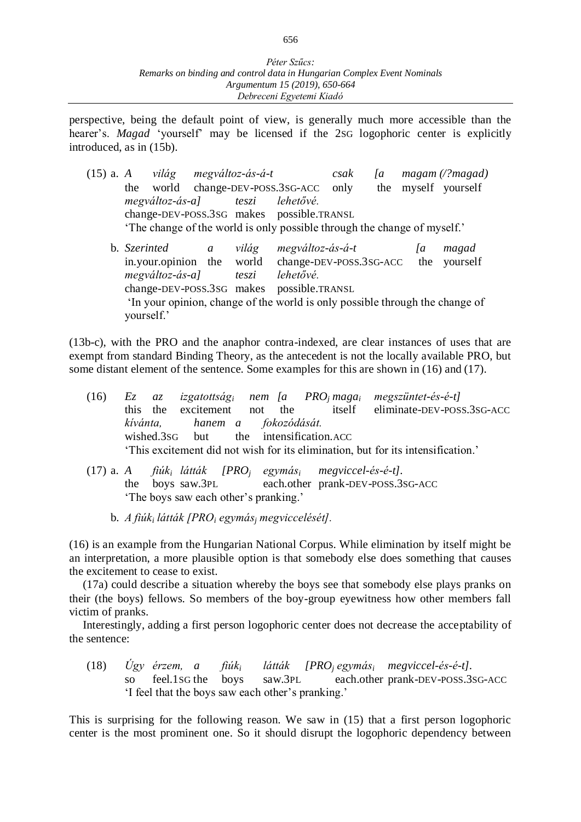perspective, being the default point of view, is generally much more accessible than the hearer's. *Magad* 'yourself' may be licensed if the 2sG logophoric center is explicitly introduced, as in (15b).

(15) a. *A világ megváltoz-ás-á-t csak [a magam (/?magad)* the world change-DEV-POSS.3SG-ACC only the myself yourself *megváltoz-ás-a] teszi lehetővé.*  change-DEV-POSS.3SG makes possible.TRANSL 'The change of the world is only possible through the change of myself.' b. *Szerinted a világ megváltoz-ás-á-t [a magad*  in.your.opinion the world change-DEV-POSS.3SG-ACC the yourself *megváltoz-ás-a] teszi lehetővé.* change-DEV-POSS.3SG makes possible.TRANSL 'In your opinion, change of the world is only possible through the change of yourself.'

(13b-c), with the PRO and the anaphor contra-indexed, are clear instances of uses that are exempt from standard Binding Theory, as the antecedent is not the locally available PRO, but some distant element of the sentence. Some examples for this are shown in (16) and (17).

|  |                                        |  |  | (16) Ez az izgatottság <sub>i</sub> nem fa PRO <sub>i</sub> maga <sub>i</sub> megszüntet-és-é-t] |
|--|----------------------------------------|--|--|--------------------------------------------------------------------------------------------------|
|  |                                        |  |  | this the excitement not the itself eliminate-DEV-POSS.3SG-ACC                                    |
|  | kívánta, hanem a fokozódását.          |  |  |                                                                                                  |
|  | wished.3sG but the intensification.ACC |  |  |                                                                                                  |
|  |                                        |  |  | This excitement did not wish for its elimination, but for its intensification.'                  |
|  |                                        |  |  |                                                                                                  |

- (17) a. *A fiúk<sup>i</sup> látták [PRO<sup>j</sup> egymás<sup>i</sup> megviccel-és-é-t].* the boys saw.3PL each.other prank-DEV-POSS.3SG-ACC 'The boys saw each other's pranking.'
	- b. *A fiúk<sup>i</sup> látták [PRO<sup>i</sup> egymás<sup>j</sup> megviccelését].*

(16) is an example from the Hungarian National Corpus. While elimination by itself might be an interpretation, a more plausible option is that somebody else does something that causes the excitement to cease to exist.

(17a) could describe a situation whereby the boys see that somebody else plays pranks on their (the boys) fellows. So members of the boy-group eyewitness how other members fall victim of pranks.

Interestingly, adding a first person logophoric center does not decrease the acceptability of the sentence:

(18) *Úgy érzem, a fiúk<sup>i</sup> látták [PRO<sup>j</sup> egymás<sup>i</sup> megviccel-és-é-t].* so feel.1sG the boys saw.3PL each.other prank-DEV-POSS.3SG-ACC 'I feel that the boys saw each other's pranking.'

This is surprising for the following reason. We saw in (15) that a first person logophoric center is the most prominent one. So it should disrupt the logophoric dependency between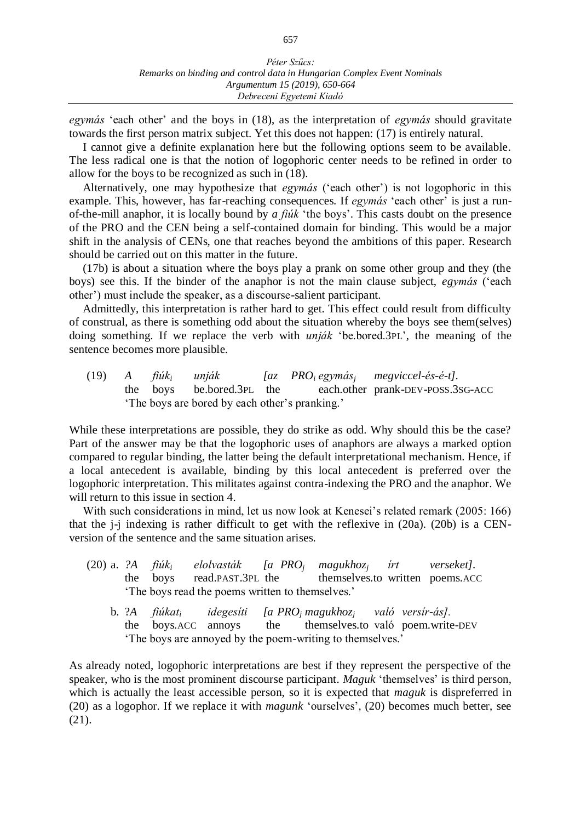*egymás* 'each other' and the boys in (18), as the interpretation of *egymás* should gravitate towards the first person matrix subject. Yet this does not happen: (17) is entirely natural.

I cannot give a definite explanation here but the following options seem to be available. The less radical one is that the notion of logophoric center needs to be refined in order to allow for the boys to be recognized as such in (18).

Alternatively, one may hypothesize that *egymás* ('each other') is not logophoric in this example. This, however, has far-reaching consequences. If *egymás* 'each other' is just a runof-the-mill anaphor, it is locally bound by *a fiúk* 'the boys'. This casts doubt on the presence of the PRO and the CEN being a self-contained domain for binding. This would be a major shift in the analysis of CENs, one that reaches beyond the ambitions of this paper. Research should be carried out on this matter in the future.

(17b) is about a situation where the boys play a prank on some other group and they (the boys) see this. If the binder of the anaphor is not the main clause subject, *egymás* ('each other') must include the speaker, as a discourse-salient participant.

Admittedly, this interpretation is rather hard to get. This effect could result from difficulty of construal, as there is something odd about the situation whereby the boys see them(selves) doing something. If we replace the verb with *unják* 'be.bored.3PL', the meaning of the sentence becomes more plausible.

(19) *A fiúk<sup>i</sup> unják [az PRO<sup>i</sup> egymás<sup>j</sup> megviccel-és-é-t].* the boys be.bored.3PL the each.other prank-DEV-POSS.3SG-ACC 'The boys are bored by each other's pranking.'

While these interpretations are possible, they do strike as odd. Why should this be the case? Part of the answer may be that the logophoric uses of anaphors are always a marked option compared to regular binding, the latter being the default interpretational mechanism. Hence, if a local antecedent is available, binding by this local antecedent is preferred over the logophoric interpretation. This militates against contra-indexing the PRO and the anaphor. We will return to this issue in section 4.

With such considerations in mind, let us now look at Kenesei's related remark (2005: 166) that the j-j indexing is rather difficult to get with the reflexive in (20a). (20b) is a CENversion of the sentence and the same situation arises.

- (20) a. *?A fiúki elolvasták [a PRO<sup>j</sup> magukhoz<sup>j</sup> írt verseket].* the boys read.PAST.3PL the themselves.to written poems.ACC 'The boys read the poems written to themselves.'
	- b. ?*A fiúkat<sup>i</sup> idegesíti [a PRO<sup>j</sup> magukhoz<sup>j</sup> való versír-ás].*  the boys.ACC annoys the themselves.to való poem.write-DEV 'The boys are annoyed by the poem-writing to themselves.'

As already noted, logophoric interpretations are best if they represent the perspective of the speaker, who is the most prominent discourse participant. *Maguk* 'themselves' is third person, which is actually the least accessible person, so it is expected that *maguk* is dispreferred in (20) as a logophor. If we replace it with *magunk* 'ourselves', (20) becomes much better, see (21).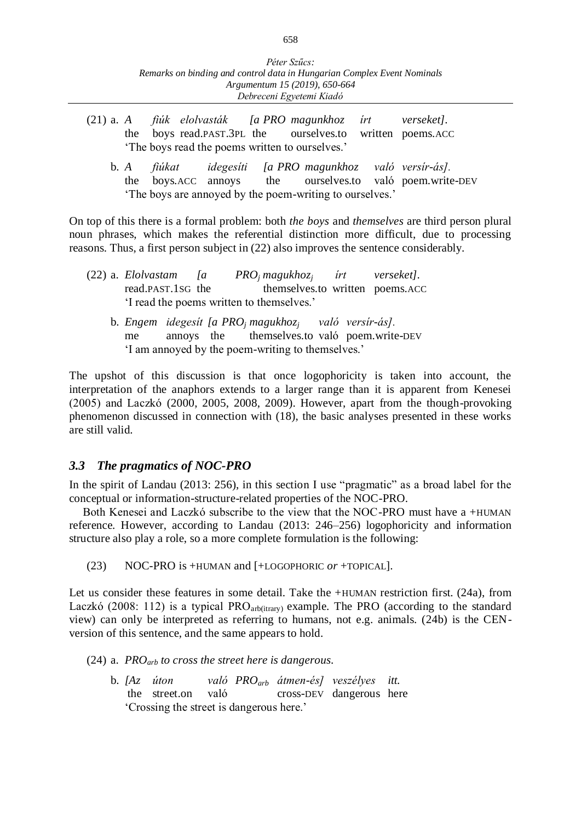- (21) a. *A fiúk elolvasták [a PRO magunkhoz írt verseket].* the boys read.PAST.3PL the ourselves.to written poems.ACC 'The boys read the poems written to ourselves.'
	- b. *A fiúkat idegesíti [a PRO magunkhoz való versír-ás].* the boys.ACC annoys the ourselves.to való poem.write-DEV 'The boys are annoyed by the poem-writing to ourselves.'

On top of this there is a formal problem: both *the boys* and *themselves* are third person plural noun phrases, which makes the referential distinction more difficult, due to processing reasons. Thus, a first person subject in (22) also improves the sentence considerably.

|  | $(22)$ a. <i>Elolvastam</i> [a]                                              |  |  |                                           |  | $PROi$ magukhoz <sub>i</sub> irt verseket].  |  |
|--|------------------------------------------------------------------------------|--|--|-------------------------------------------|--|----------------------------------------------|--|
|  | read.PAST.1SG the                                                            |  |  |                                           |  | themselves.to written poems.ACC              |  |
|  |                                                                              |  |  | 'I read the poems written to themselves.' |  |                                              |  |
|  | b. Engem idegesít [a PRO <sub>i</sub> magukhoz <sub>i</sub> való versír-ás]. |  |  |                                           |  |                                              |  |
|  | me                                                                           |  |  |                                           |  | annoys the themselves.to való poem.write-DEV |  |
|  | 'I am annoyed by the poem-writing to themselves.'                            |  |  |                                           |  |                                              |  |

The upshot of this discussion is that once logophoricity is taken into account, the interpretation of the anaphors extends to a larger range than it is apparent from Kenesei (2005) and Laczkó (2000, 2005, 2008, 2009). However, apart from the though-provoking phenomenon discussed in connection with (18), the basic analyses presented in these works are still valid.

## *3.3 The pragmatics of NOC-PRO*

In the spirit of Landau (2013: 256), in this section I use "pragmatic" as a broad label for the conceptual or information-structure-related properties of the NOC-PRO.

Both Kenesei and Laczkó subscribe to the view that the NOC-PRO must have a +HUMAN reference. However, according to Landau (2013: 246–256) logophoricity and information structure also play a role, so a more complete formulation is the following:

(23) NOC-PRO is +HUMAN and [+LOGOPHORIC *or* +TOPICAL].

Let us consider these features in some detail. Take the +HUMAN restriction first. (24a), from Laczkó (2008: 112) is a typical  $PRO<sub>arb(itrary)</sub>$  example. The PRO (according to the standard view) can only be interpreted as referring to humans, not e.g. animals. (24b) is the CENversion of this sentence, and the same appears to hold.

- (24) a. *PROarb to cross the street here is dangerous.*
	- b. *[Az úton való PROarb átmen-és] veszélyes itt.* the street.on való cross-DEV dangerous here 'Crossing the street is dangerous here.'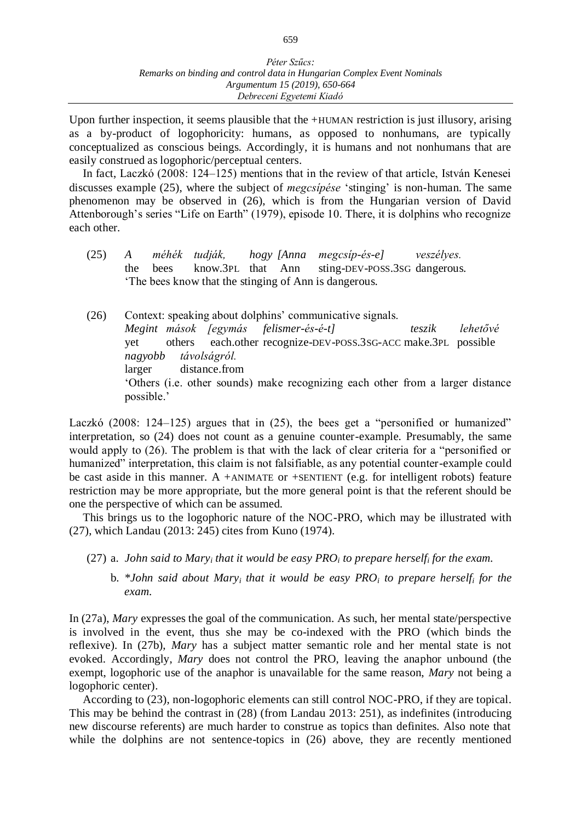Upon further inspection, it seems plausible that the +HUMAN restriction is just illusory, arising as a by-product of logophoricity: humans, as opposed to nonhumans, are typically conceptualized as conscious beings. Accordingly, it is humans and not nonhumans that are easily construed as logophoric/perceptual centers.

In fact, Laczkó (2008: 124–125) mentions that in the review of that article, István Kenesei discusses example (25), where the subject of *megcsípése* 'stinging' is non-human. The same phenomenon may be observed in (26), which is from the Hungarian version of David Attenborough's series "Life on Earth" (1979), episode 10. There, it is dolphins who recognize each other.

- (25) *A méhék tudják, hogy [Anna megcsíp-és-e] veszélyes.* the bees know.3PL that Ann sting-DEV-POSS.3SG dangerous. 'The bees know that the stinging of Ann is dangerous.
- (26) Context: speaking about dolphins' communicative signals. *Megint mások [egymás felismer-és-é-t] teszik lehetővé*  yet others each.other recognize-DEV-POSS.3SG-ACC make.3PL possible *nagyobb távolságról.* larger distance.from 'Others (i.e. other sounds) make recognizing each other from a larger distance possible.'

Laczkó (2008: 124–125) argues that in (25), the bees get a "personified or humanized" interpretation, so (24) does not count as a genuine counter-example. Presumably, the same would apply to (26). The problem is that with the lack of clear criteria for a "personified or humanized" interpretation, this claim is not falsifiable, as any potential counter-example could be cast aside in this manner. A +ANIMATE or +SENTIENT (e.g. for intelligent robots) feature restriction may be more appropriate, but the more general point is that the referent should be one the perspective of which can be assumed.

This brings us to the logophoric nature of the NOC-PRO, which may be illustrated with (27), which Landau (2013: 245) cites from Kuno (1974).

- (27) a. *John said to Mary<sup>i</sup> that it would be easy PRO<sup>i</sup> to prepare herself<sup>i</sup> for the exam.*
	- b. *\*John said about Mary<sup>i</sup> that it would be easy PRO<sup>i</sup> to prepare herself<sup>i</sup> for the exam.*

In (27a), *Mary* expresses the goal of the communication. As such, her mental state/perspective is involved in the event, thus she may be co-indexed with the PRO (which binds the reflexive). In (27b), *Mary* has a subject matter semantic role and her mental state is not evoked. Accordingly, *Mary* does not control the PRO, leaving the anaphor unbound (the exempt, logophoric use of the anaphor is unavailable for the same reason, *Mary* not being a logophoric center).

According to (23), non-logophoric elements can still control NOC-PRO, if they are topical. This may be behind the contrast in (28) (from Landau 2013: 251), as indefinites (introducing new discourse referents) are much harder to construe as topics than definites. Also note that while the dolphins are not sentence-topics in  $(26)$  above, they are recently mentioned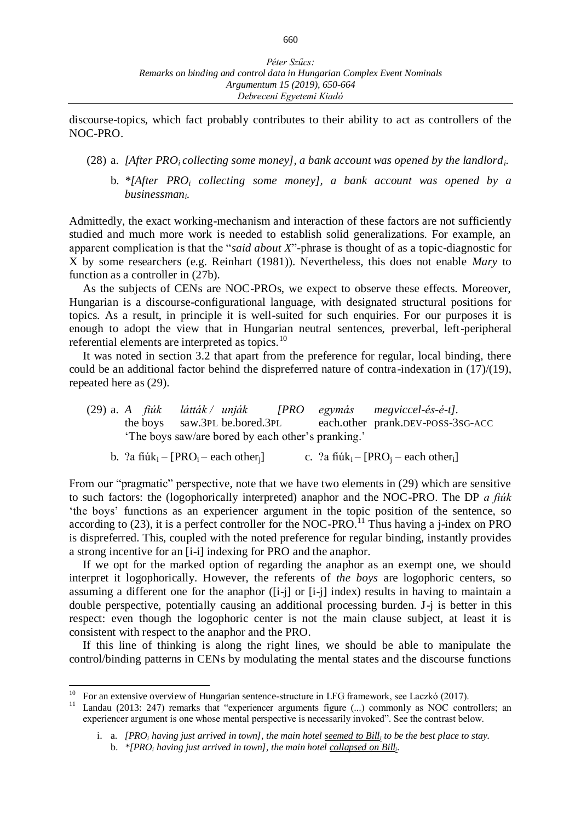discourse-topics, which fact probably contributes to their ability to act as controllers of the NOC-PRO.

- (28) a. *[After PROi collecting some money], a bank account was opened by the landlordi.*
	- b. *\*[After PRO<sup>i</sup> collecting some money], a bank account was opened by a businessmani.*

Admittedly, the exact working-mechanism and interaction of these factors are not sufficiently studied and much more work is needed to establish solid generalizations. For example, an apparent complication is that the "*said about X*"-phrase is thought of as a topic-diagnostic for X by some researchers (e.g. Reinhart (1981)). Nevertheless, this does not enable *Mary* to function as a controller in (27b).

As the subjects of CENs are NOC-PROs, we expect to observe these effects. Moreover, Hungarian is a discourse-configurational language, with designated structural positions for topics. As a result, in principle it is well-suited for such enquiries. For our purposes it is enough to adopt the view that in Hungarian neutral sentences, preverbal, left-peripheral referential elements are interpreted as topics.<sup>10</sup>

It was noted in section 3.2 that apart from the preference for regular, local binding, there could be an additional factor behind the dispreferred nature of contra-indexation in (17)/(19), repeated here as (29).

- (29) a. *A fiúk látták / unják [PRO egymás megviccel-és-é-t].* the boys saw.3PL be.bored.3PL each.other prank.DEV-POSS-3SG-ACC 'The boys saw/are bored by each other's pranking.'
	- b. ?a fiúk<sub>i</sub> [PRO<sub>i</sub> each other<sub>i</sub>] c. ?a fiúk<sub>i</sub> [PRO<sub>i</sub> each other<sub>i</sub>]

From our "pragmatic" perspective, note that we have two elements in (29) which are sensitive to such factors: the (logophorically interpreted) anaphor and the NOC-PRO. The DP *a fiúk* 'the boys' functions as an experiencer argument in the topic position of the sentence, so according to (23), it is a perfect controller for the NOC-PRO.<sup>11</sup> Thus having a j-index on PRO is dispreferred. This, coupled with the noted preference for regular binding, instantly provides a strong incentive for an [i-i] indexing for PRO and the anaphor.

If we opt for the marked option of regarding the anaphor as an exempt one, we should interpret it logophorically. However, the referents of *the boys* are logophoric centers, so assuming a different one for the anaphor ([i-j] or [i-j] index) results in having to maintain a double perspective, potentially causing an additional processing burden. J-j is better in this respect: even though the logophoric center is not the main clause subject, at least it is consistent with respect to the anaphor and the PRO.

If this line of thinking is along the right lines, we should be able to manipulate the control/binding patterns in CENs by modulating the mental states and the discourse functions

 $\overline{a}$ 

 $10$  For an extensive overview of Hungarian sentence-structure in LFG framework, see Laczkó (2017).

Landau (2013: 247) remarks that "experiencer arguments figure (...) commonly as NOC controllers; an experiencer argument is one whose mental perspective is necessarily invoked". See the contrast below.

i. a. *[PRO<sup>i</sup> having just arrived in town], the main hotel seemed to Bill<sup>i</sup> to be the best place to stay.* b. *\*[PRO<sup>i</sup> having just arrived in town], the main hotel collapsed on Bill<sup>i</sup> .*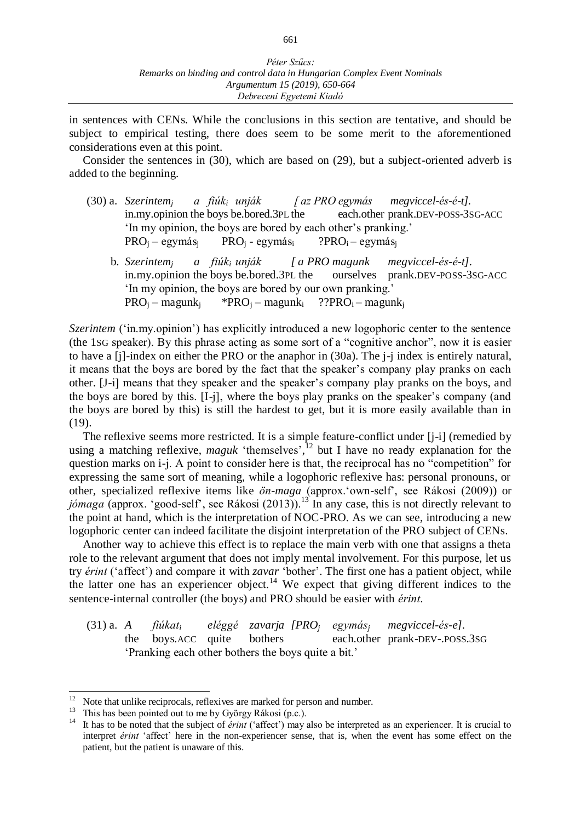in sentences with CENs. While the conclusions in this section are tentative, and should be subject to empirical testing, there does seem to be some merit to the aforementioned considerations even at this point.

Consider the sentences in (30), which are based on (29), but a subject-oriented adverb is added to the beginning.

- (30) a. *Szerintem<sup>j</sup> a fiúk<sup>i</sup> unják [ az PRO egymás megviccel-és-é-t].* in.my.opinion the boys be.bored.3PL the each.other prank.DEV-POSS-3SG-ACC 'In my opinion, the boys are bored by each other's pranking.'  $PRO<sub>j</sub> - egymás<sub>j</sub>$  PRO<sub>i</sub> - egymás<sub>i</sub> ?PRO<sub>i</sub> – egymás<sub>i</sub>
	- b. *Szerintem<sup>j</sup> a fiúk<sup>i</sup> unják [ a PRO magunk megviccel-és-é-t].* in.my.opinion the boys be.bored.3PL the ourselves prank.DEV-POSS-3SG-ACC 'In my opinion, the boys are bored by our own pranking.'  $PRO<sub>i</sub>$  – magunk<sub>i</sub> \*PRO<sub>i</sub> – magunk<sub>i</sub> ??PRO<sub>i</sub> – magunk<sub>i</sub>

*Szerintem* ('in.my.opinion') has explicitly introduced a new logophoric center to the sentence (the 1SG speaker). By this phrase acting as some sort of a "cognitive anchor", now it is easier to have a [j]-index on either the PRO or the anaphor in (30a). The j-j index is entirely natural, it means that the boys are bored by the fact that the speaker's company play pranks on each other. [J-i] means that they speaker and the speaker's company play pranks on the boys, and the boys are bored by this. [I-j], where the boys play pranks on the speaker's company (and the boys are bored by this) is still the hardest to get, but it is more easily available than in (19).

The reflexive seems more restricted. It is a simple feature-conflict under [j-i] (remedied by using a matching reflexive, *maguk* 'themselves', <sup>12</sup> but I have no ready explanation for the question marks on i-j. A point to consider here is that, the reciprocal has no "competition" for expressing the same sort of meaning, while a logophoric reflexive has: personal pronouns, or other, specialized reflexive items like *ön-maga* (approx.'own-self', see Rákosi (2009)) or jómaga (approx. 'good-self', see Rákosi (2013)).<sup>13</sup> In any case, this is not directly relevant to the point at hand, which is the interpretation of NOC-PRO. As we can see, introducing a new logophoric center can indeed facilitate the disjoint interpretation of the PRO subject of CENs.

Another way to achieve this effect is to replace the main verb with one that assigns a theta role to the relevant argument that does not imply mental involvement. For this purpose, let us try *érint* ('affect') and compare it with *zavar* 'bother'. The first one has a patient object, while the latter one has an experiencer object.<sup>14</sup> We expect that giving different indices to the sentence-internal controller (the boys) and PRO should be easier with *érint*.

(31) a. *A fiúkat<sup>i</sup> eléggé zavarja [PRO<sup>j</sup> egymás<sup>j</sup> megviccel-és-e].* the boys.ACC quite bothers each.other prank-DEV-.POSS.3SG 'Pranking each other bothers the boys quite a bit.'

Note that unlike reciprocals, reflexives are marked for person and number.

<sup>&</sup>lt;sup>13</sup> This has been pointed out to me by György Rákosi (p.c.).<br><sup>14</sup> It has to be noted that the subject of *évint* ('affect') may

<sup>14</sup> It has to be noted that the subject of *érint* ('affect') may also be interpreted as an experiencer. It is crucial to interpret *érint* 'affect' here in the non-experiencer sense, that is, when the event has some effect on the patient, but the patient is unaware of this.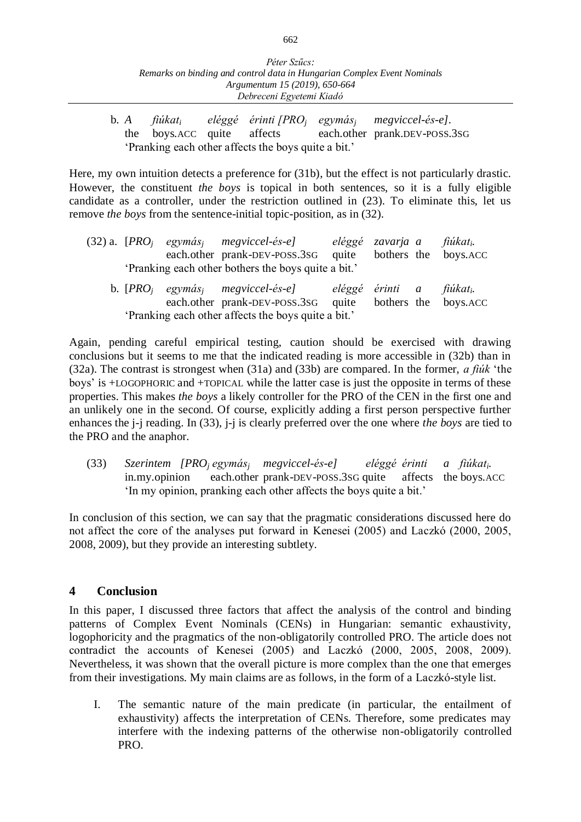b. *A fiúkat<sup>i</sup> eléggé érinti [PRO<sup>j</sup> egymás<sup>j</sup> megviccel-és-e].* each.other prank.DEV-POSS.3SG 'Pranking each other affects the boys quite a bit.'

Here, my own intuition detects a preference for (31b), but the effect is not particularly drastic. However, the constituent *the boys* is topical in both sentences, so it is a fully eligible candidate as a controller, under the restriction outlined in (23). To eliminate this, let us remove *the boys* from the sentence-initial topic-position, as in (32).

|  | (32) a. $[PROi$ egymás <sub>i</sub> megviccel-és-e]<br>each.other prank-DEV-POSS.3SG                                  | quite | eléggé zavarja a fiúkat <sub>i</sub> . | bothers the boys. ACC |
|--|-----------------------------------------------------------------------------------------------------------------------|-------|----------------------------------------|-----------------------|
|  | 'Pranking each other bothers the boys quite a bit.'                                                                   |       |                                        |                       |
|  | b. $[PROi$ egymás <sub>i</sub> megyiccel-és-e] eléggé érinti a fiúkat <sub>i</sub> .<br>each.other prank-DEV-POSS.3SG | quite |                                        | bothers the boys. ACC |
|  | 'Pranking each other affects the boys quite a bit.'                                                                   |       |                                        |                       |

Again, pending careful empirical testing, caution should be exercised with drawing conclusions but it seems to me that the indicated reading is more accessible in (32b) than in (32a). The contrast is strongest when (31a) and (33b) are compared. In the former, *a fiúk* 'the boys' is +LOGOPHORIC and +TOPICAL while the latter case is just the opposite in terms of these properties. This makes *the boys* a likely controller for the PRO of the CEN in the first one and an unlikely one in the second. Of course, explicitly adding a first person perspective further enhances the j-j reading. In (33), j-j is clearly preferred over the one where *the boys* are tied to the PRO and the anaphor.

(33) *Szerintem [PRO<sup>j</sup> egymás<sup>j</sup> megviccel-és-e] eléggé érinti a fiúkati.* in.my.opinion each.other prank-DEV-POSS.3SG quite affects the boys.ACC 'In my opinion, pranking each other affects the boys quite a bit.'

In conclusion of this section, we can say that the pragmatic considerations discussed here do not affect the core of the analyses put forward in Kenesei (2005) and Laczkó (2000, 2005, 2008, 2009), but they provide an interesting subtlety.

## **4 Conclusion**

In this paper, I discussed three factors that affect the analysis of the control and binding patterns of Complex Event Nominals (CENs) in Hungarian: semantic exhaustivity, logophoricity and the pragmatics of the non-obligatorily controlled PRO. The article does not contradict the accounts of Kenesei (2005) and Laczkó (2000, 2005, 2008, 2009). Nevertheless, it was shown that the overall picture is more complex than the one that emerges from their investigations. My main claims are as follows, in the form of a Laczkó-style list.

I. The semantic nature of the main predicate (in particular, the entailment of exhaustivity) affects the interpretation of CENs. Therefore, some predicates may interfere with the indexing patterns of the otherwise non-obligatorily controlled PRO.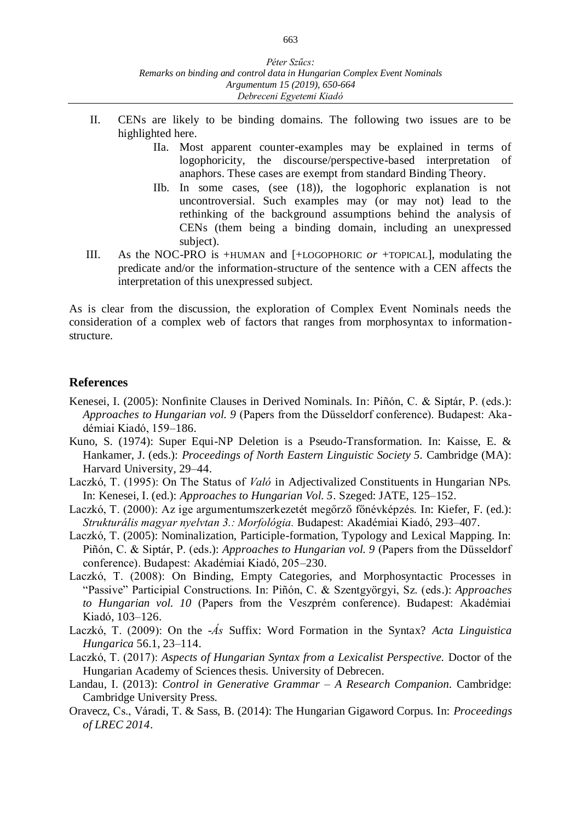- II. CENs are likely to be binding domains. The following two issues are to be highlighted here.
	- IIa. Most apparent counter-examples may be explained in terms of logophoricity, the discourse/perspective-based interpretation of anaphors. These cases are exempt from standard Binding Theory.
	- IIb. In some cases, (see (18)), the logophoric explanation is not uncontroversial. Such examples may (or may not) lead to the rethinking of the background assumptions behind the analysis of CENs (them being a binding domain, including an unexpressed subject).
- III. As the NOC-PRO is +HUMAN and [+LOGOPHORIC *or* +TOPICAL], modulating the predicate and/or the information-structure of the sentence with a CEN affects the interpretation of this unexpressed subject.

As is clear from the discussion, the exploration of Complex Event Nominals needs the consideration of a complex web of factors that ranges from morphosyntax to informationstructure.

#### **References**

- Kenesei, I. (2005): Nonfinite Clauses in Derived Nominals. In: Piñón, C. & Siptár, P. (eds.): *Approaches to Hungarian vol. 9* (Papers from the Düsseldorf conference). Budapest: Akadémiai Kiadó, 159–186.
- Kuno, S. (1974): Super Equi-NP Deletion is a Pseudo-Transformation. In: Kaisse, E. & Hankamer, J. (eds.): *Proceedings of North Eastern Linguistic Society 5.* Cambridge (MA): Harvard University, 29–44.
- Laczkó, T. (1995): On The Status of *Való* in Adjectivalized Constituents in Hungarian NPs. In: Kenesei, I. (ed.): *Approaches to Hungarian Vol. 5*. Szeged: JATE, 125–152.
- Laczkó, T. (2000): Az ige argumentumszerkezetét megőrző főnévképzés. In: Kiefer, F. (ed.): *Strukturális magyar nyelvtan 3.: Morfológia.* Budapest: Akadémiai Kiadó, 293–407.
- Laczkó, T. (2005): Nominalization, Participle-formation, Typology and Lexical Mapping. In: Piñón, C. & Siptár, P. (eds.): *Approaches to Hungarian vol. 9* (Papers from the Düsseldorf conference). Budapest: Akadémiai Kiadó, 205–230.
- Laczkó, T. (2008): On Binding, Empty Categories, and Morphosyntactic Processes in "Passive" Participial Constructions. In: Piñón, C. & Szentgyörgyi, Sz. (eds.): *Approaches to Hungarian vol. 10* (Papers from the Veszprém conference). Budapest: Akadémiai Kiadó, 103–126.
- Laczkó, T. (2009): On the -*Ás* Suffix: Word Formation in the Syntax? *Acta Linguistica Hungarica* 56.1, 23–114.
- Laczkó, T. (2017): *Aspects of Hungarian Syntax from a Lexicalist Perspective.* Doctor of the Hungarian Academy of Sciences thesis. University of Debrecen.
- Landau, I. (2013): *Control in Generative Grammar – A Research Companion.* Cambridge: Cambridge University Press.
- Oravecz, Cs., Váradi, T. & Sass, B. (2014): The Hungarian Gigaword Corpus. In: *Proceedings of LREC 2014*.